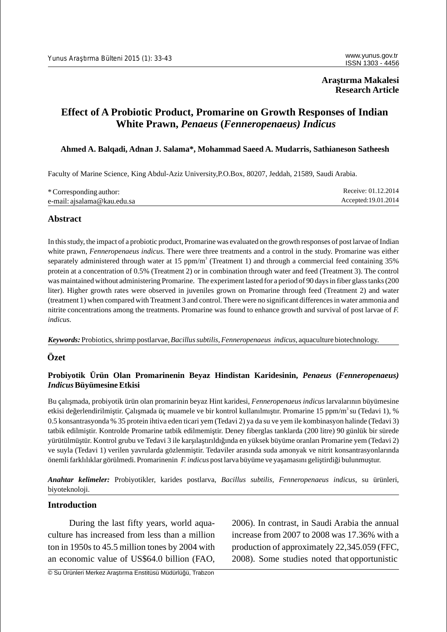# **Araştırma Makalesi Research Article**

# **Effect of A Probiotic Product, Promarine on Growth Responses of Indian White Prawn,** *Penaeus* **(***Fenneropenaeus) Indicus*

### **Ahmed A. Balqadi, Adnan J. Salama\*, Mohammad Saeed A. Mudarris, Sathianeson Satheesh**

Faculty of Marine Science, King Abdul-Aziz University,P.O.Box, 80207, Jeddah, 21589, Saudi Arabia.

| * Corresponding author:     | Receive: 01.12.2014  |
|-----------------------------|----------------------|
| e-mail: ajsalama@kau.edu.sa | Accepted: 19.01.2014 |

# **Abstract**

In this study, the impact of a probiotic product, Promarine was evaluated on the growth responses of post larvae of Indian white prawn, *Fenneropenaeus indicus*. There were three treatments and a control in the study. Promarine was either separately administered through water at 15 ppm/m<sup>3</sup> (Treatment 1) and through a commercial feed containing 35% protein at a concentration of 0.5% (Treatment 2) or in combination through water and feed (Treatment 3). The control was maintained without administering Promarine. The experiment lasted for a period of 90 days in fiber glass tanks (200 liter). Higher growth rates were observed in juveniles grown on Promarine through feed (Treatment 2) and water (treatment 1) when compared with Treatment 3 and control. There were no significant differences in water ammonia and nitrite concentrations among the treatments. Promarine was found to enhance growth and survival of post larvae of *F. indicus.*

*Keywords:*Probiotics, shrimp postlarvae, *Bacillus subtilis*,*Fenneropenaeus indicus,* aquaculture biotechnology.

### **Özet**

### **Probiyotik Ürün Olan Promarinenin Beyaz Hindistan Karidesinin,** *Penaeus* **(***Fenneropenaeus) Indicus***Büyümesine Etkisi**

Bu çalışmada, probiyotik ürün olan promarinin beyaz Hint karidesi, *Fenneropenaeus indicus* larvalarının büyümesine etkisi de erlendirilmi tir. Çalı mada üç muamele ve bir kontrol kullanılmı tır. Promarine 15 ppm/m<sup>3</sup>su (Tedavi 1), % 0.5 konsantrasyonda % 35 protein ihtiva eden ticari yem (Tedavi 2) ya da su ve yem ile kombinasyon halinde (Tedavi 3) tatbik edilmi tir. Kontrolde Promarine tatbik edilmemi tir. Deney fiberglas tanklarda (200 litre) 90 günlük bir sürede yürütülmü tür. Kontrol grubu ve Tedavi 3 ile karıla tırıldı ında en yüksek büyüme oranları Promarine yem (Tedavi 2) ve suyla (Tedavi 1) verilen yavrularda gözlenmi tir. Tedaviler arasında suda amonyak ve nitrit konsantrasyonlarında önemli farklılıklar görülmedi. Promarinenin *F. indicus* post larva büyüme ve ya amasını geli tirdi i bulunmu tur.

*Anahtar kelimeler:* Probiyotikler, karides postlarva, *Bacillus subtilis, Fenneropenaeus indicus*, su ürünleri, biyoteknoloji.

### **Introduction**

culture has increased from less than a million increase from 2007 to 2008 was 17.36% with a ton in 1950s to 45.5 million tones by 2004 with production of approximately 22,345.059 (FFC, an economic value of US\$64.0 billion (FAO, 2008). Some studies noted that opportunistic

During the last fifty years, world aqua-<br>2006). In contrast, in Saudi Arabia the annual

© Su Ürünleri Merkez Araştırma Enstitüsü Müdürlüğü, Trabzon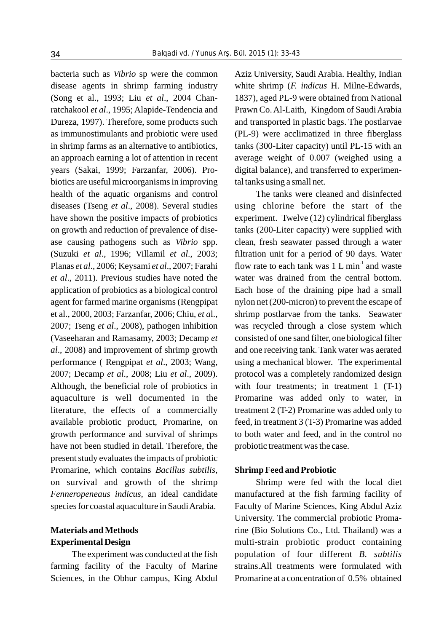disease agents in shrimp farming industry white shrimp (*F. indicus* H. Milne-Edwards, (Song et al., 1993; Liu *et al*., 2004 Chan- 1837), aged PL-9 were obtained from National ratchakool et al., 1995; Alapide-Tendencia and Prawn Co. Al-Laith, Kingdom of Saudi Arabia Dureza, 1997). Therefore, some products such and transported in plastic bags. The postlarvae as immunostimulants and probiotic were used (PL-9) were acclimatized in three fiberglass in shrimp farms as an alternative to antibiotics, tanks (300-Liter capacity) until PL-15 with an an approach earning a lot of attention in recent average weight of 0.007 (weighed using a years (Sakai, 1999; Farzanfar, 2006). Pro- digital balance), and transferred to experimenbiotics are useful microorganisms in improving tal tanks using a small net. health of the aquatic organisms and control The tanks were cleaned and disinfected diseases (Tseng *et al*., 2008). Several studies using chlorine before the start of the have shown the positive impacts of probiotics experiment. Twelve (12) cylindrical fiberglass on growth and reduction of prevalence of dise- tanks (200-Liter capacity) were supplied with ase causing pathogens such as *Vibrio* spp. clean, fresh seawater passed through a water (Suzuki *et al*., 1996; Villamil *et al*., 2003; filtration unit for a period of 90 days. Water Planas *et al.*, 2006; Keysami *et al.*, 2007; Farahi flow rate to each tank was 1 L min<sup>-1</sup> and waste *et al*., 2011). Previous studies have noted the water was drained from the central bottom. application of probiotics as a biological control Each hose of the draining pipe had a small agent for farmed marine organisms (Rengpipat nylon net (200-micron) to prevent the escape of et al., 2000, 2003; Farzanfar, 2006; Chiu, *et a*l., shrimp postlarvae from the tanks. Seawater 2007; Tseng *et al*., 2008), pathogen inhibition was recycled through a close system which (Vaseeharan and Ramasamy, 2003; Decamp *et* consisted of one sand filter, one biological filter *al*., 2008) and improvement of shrimp growth and one receiving tank. Tank water was aerated performance ( Rengpipat *et al*., 2003; Wang, using a mechanical blower. The experimental 2007; Decamp *et al*., 2008; Liu *et al*., 2009). protocol was a completely randomized design Although, the beneficial role of probiotics in with four treatments; in treatment 1 (T-1) aquaculture is well documented in the Promarine was added only to water, in literature, the effects of a commercially treatment  $2$  (T-2) Promarine was added only to available probiotic product, Promarine, on feed, in treatment 3 (T-3) Promarine was added growth performance and survival of shrimps to both water and feed, and in the control no have not been studied in detail. Therefore, the probiotic treatment was the case. present study evaluates the impacts of probiotic Promarine, which contains *Bacillus subtilis*, **Shrimp Feed and Probiotic**  on survival and growth of the shrimp Shrimp were fed with the local diet *Fenneropeneaus indicus,* an ideal candidate manufactured at the fish farming facility of species for coastal aquaculture in Saudi Arabia. Faculty of Marine Sciences, King Abdul Aziz

bacteria such as *Vibrio* sp were the common Aziz University, Saudi Arabia. Healthy, Indian

University. The commercial probiotic Proma-**Materials and Methods** rine (Bio Solutions Co., Ltd. Thailand) was a **Experimental Design**  multi-strain probiotic product containing The experiment was conducted at the fish population of four different *B. subtilis* farming facility of the Faculty of Marine strains.All treatments were formulated with Sciences, in the Obhur campus, King Abdul Promarine at a concentration of 0.5% obtained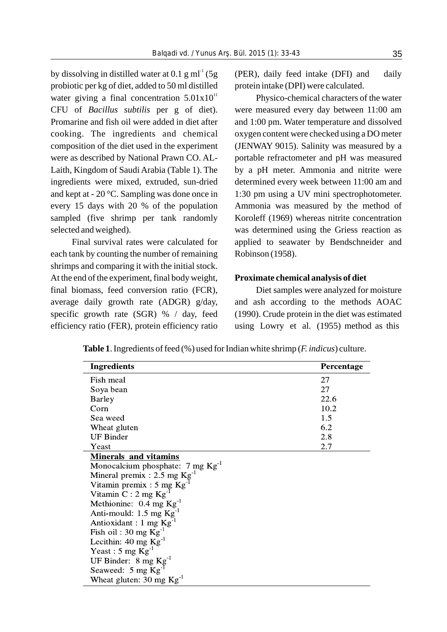probiotic per kg of diet, added to 50 ml distilled protein intake (DPI) were calculated. water giving a final concentration  $5.01 \times 10^{11}$  Physico-chemical characters of the water

each tank by counting the number of remaining Robinson (1958). shrimps and comparing it with the initial stock. At the end of the experiment, final body weight, **Proximate chemical analysis of diet** final biomass, feed conversion ratio (FCR), Diet samples were analyzed for moisture efficiency ratio (FER), protein efficiency ratio using Lowry et al. (1955) method as this

by dissolving in distilled water at 0.1 g ml<sup>-1</sup> (5g (PER), daily feed intake (DFI) and daily

CFU of *Bacillus subtilis* per g of diet). were measured every day between 11:00 am Promarine and fish oil were added in diet after and 1:00 pm. Water temperature and dissolved cooking. The ingredients and chemical oxygen content were checked using a DO meter composition of the diet used in the experiment (JENWAY 9015). Salinity was measured by a were as described by National Prawn CO. AL-<br>portable refractometer and pH was measured Laith, Kingdom of Saudi Arabia (Table 1). The by a pH meter. Ammonia and nitrite were ingredients were mixed, extruded, sun-dried determined every week between 11:00 am and and kept at - 20 °C. Sampling was done once in 1:30 pm using a UV mini spectrophotometer. every 15 days with 20 % of the population Ammonia was measured by the method of sampled (five shrimp per tank randomly Koroleff (1969) whereas nitrite concentration selected and weighed). was determined using the Griess reaction as Final survival rates were calculated for applied to seawater by Bendschneider and

average daily growth rate (ADGR) g/day, and ash according to the methods AOAC specific growth rate  $(SGR)$  % / day, feed (1990). Crude protein in the diet was estimated

**Table 1**. Ingredients of feed (%) used for Indian white shrimp (*F. indicus*) culture.

| <b>Ingredients</b>                            | Percentage |
|-----------------------------------------------|------------|
| Fish meal                                     | 27         |
| Soya bean                                     | 27         |
| <b>Barley</b>                                 | 22.6       |
| Corn                                          | 10.2       |
| Sea weed                                      | 1.5        |
| Wheat gluten                                  | 6.2        |
| <b>UF Binder</b>                              | 2.8        |
| Yeast                                         | 2.7        |
| <b>Minerals and vitamins</b>                  |            |
| Monocalcium phosphate: $7 \text{ mg Kg}^{-1}$ |            |
| Mineral premix : 2.5 mg $\text{Kg}^{-1}$      |            |
| Vitamin premix : $5 \text{ mg Kg}^{-1}$       |            |
| Vitamin C: 2 mg Kg                            |            |
| Methionine: $0.4 \text{ mg Kg}^{-1}$          |            |
| Anti-mould: $1.5 \text{ mg Kg}^{-1}$          |            |
| Antioxidant: 1 mg Kg                          |            |
| Fish oil: $30 \text{ mg Kg}^{-1}$             |            |
| Lecithin: $40 \text{ mg Kg}^{-1}$             |            |
| Yeast : 5 mg $\text{Kg}^1$                    |            |
| UF Binder: $8 \text{ mg Kg}^{-1}$             |            |
| Seaweed: 5 mg Kg                              |            |
| Wheat gluten: 30 mg $Kg-1$                    |            |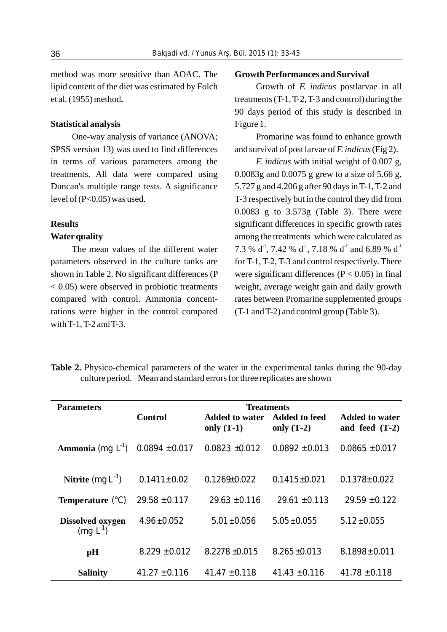method was more sensitive than AOAC. The **Growth Performances and Survival**  lipid content of the diet was estimated by Folch Growth of *F. indicus* postlarvae in all et al*.*(1955) method**.** treatments (T-1, T-2, T-3 and control) during the

### **Statistical analysis** Figure 1.

SPSS version 13) was used to find differences and survival of post larvae of *F. indicus*(Fig 2). in terms of various parameters among the *F. indicus* with initial weight of 0.007 g, treatments. All data were compared using  $0.0083g$  and  $0.0075g$  g grew to a size of 5.66 g, Duncan's multiple range tests. A significance 5.727 g and 4.206 g after 90 days in T-1, T-2 and level of (P<0.05) was used. T-3 respectively but in the control they did from

rations were higher in the control compared (T-1 and T-2) and control group (Table 3). with T-1, T-2 and T-3.

90 days period of this study is described in

One-way analysis of variance (ANOVA; Promarine was found to enhance growth

0.0083 g to 3.573g (Table 3). There were **Results** significant differences in specific growth rates **Water quality** among the treatments which were calculated as The mean values of the different water 7.3 % d<sup>-1</sup>, 7.42 % d<sup>-1</sup>, 7.18 % d<sup>-1</sup> and 6.89 % d<sup>-1</sup> parameters observed in the culture tanks are for T-1, T-2, T-3 and control respectively. There shown in Table 2. No significant differences (P were significant differences ( $P < 0.05$ ) in final  $< 0.05$ ) were observed in probiotic treatments weight, average weight gain and daily growth compared with control. Ammonia concent- rates between Promarine supplemented groups

| <b>Table 2.</b> Physico-chemical parameters of the water in the experimental tanks during the 90-day |                                                                         |  |  |  |
|------------------------------------------------------------------------------------------------------|-------------------------------------------------------------------------|--|--|--|
|                                                                                                      | culture period. Mean and standard errors for three replicates are shown |  |  |  |

| <b>Parameters</b>                 | Control            | <b>Added to water</b><br>only $(T-1)$ | <b>Treatments</b><br><b>Added to feed</b><br>only $(T-2)$ | Added to water<br>and feed $(T-2)$ |
|-----------------------------------|--------------------|---------------------------------------|-----------------------------------------------------------|------------------------------------|
| <b>Ammonia</b> (mg $L^{-1}$ )     | $0.0894 \pm 0.017$ | $0.0823 + 0.012$                      | $0.0892 \pm 0.013$                                        | $0.0865 \pm 0.017$                 |
| <b>Nitrite</b> (mg $L^{-1}$ )     | $0.1411 \pm 0.02$  | $0.1269 \pm 0.022$                    | $0.1415 \pm 0.021$                                        | $0.1378 + 0.022$                   |
| <b>Temperature</b> $(^{\circ}C)$  | $29.58 \pm 0.117$  | $29.63 \pm 0.116$                     | $29.61 \pm 0.113$                                         | $29.59 \pm 0.122$                  |
| Dissolved oxygen<br>$(mq L^{-1})$ | $4.96 \pm 0.052$   | $5.01 \pm 0.056$                      | $5.05 \pm 0.055$                                          | $5.12 \pm 0.055$                   |
| pH                                | $8.229 \pm 0.012$  | $8.2278 + 0.015$                      | $8.265 + 0.013$                                           | $8.1898 \pm 0.011$                 |
| <b>Salinity</b>                   | $41.27 + 0.116$    | $41.47 + 0.118$                       | $41.43 \pm 0.116$                                         | $41.78 \pm 0.118$                  |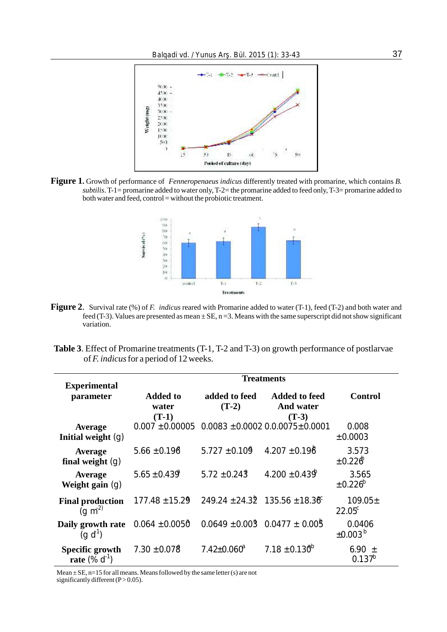

**Figure 1.** Growth of performance of *Fenneropenaeus indicus* differently treated with promarine, which contains *B. subtilis*. T-1= promarine added to water only, T-2= the promarine added to feed only, T-3= promarine added to both water and feed, control = without the probiotic treatment.



- **Figure 2**. Survival rate (%) of *F. indicus* reared with Promarine added to water (T-1), feed (T-2) and both water and feed (T-3). Values are presented as mean  $\pm$  SE, n = 3. Means with the same superscript did not show significant variation.
- **Table 3**. Effect of Promarine treatments (T-1, T-2 and T-3) on growth performance of postlarvae of *F. indicus*for a period of 12 weeks.

| <b>Experimental</b>                          | <b>Treatments</b>                   |                                         |                                              |                               |
|----------------------------------------------|-------------------------------------|-----------------------------------------|----------------------------------------------|-------------------------------|
| parameter                                    | <b>Added to</b><br>water<br>$(T-1)$ | added to feed<br>$(T-2)$                | <b>Added to feed</b><br>And water<br>$(T-3)$ | <b>Control</b>                |
| <b>Average</b><br>Initial weight $(q)$       | $0.007 + 0.00005$                   |                                         | $0.0083 + 0.0002 0.00075 + 0.0001$           | 0.008<br>±0.0003              |
| Average<br>final weight $(q)$                | $5.66 \pm 0.196$                    | $5.727 \pm 0.109$                       | $4.207 + 0.198$                              | 3.573<br>$+0.226$             |
| <b>Average</b><br>Weight gain $(q)$          | $5.65 \pm 0.439$                    | $5.72 \pm 0.243$                        | $4.200 \pm 0.439$                            | 3.565<br>$\pm 0.226^b$        |
| <b>Final production</b><br>$(q \, m^{2})$    | $177.48 \pm 15.29$                  | $249.24 \pm 24.32$ 135.56 $\pm 18.38$ ° |                                              | $109.05 \pm$<br>$22.05^c$     |
| Daily growth rate<br>(q d)                   | $0.064 \pm 0.0050$                  | $0.0649 \pm 0.003$ 0.0477 $\pm$ 0.005   |                                              | 0.0406<br>±0.003 <sup>b</sup> |
| Specific growth<br><b>rate</b> $(\% d^{-1})$ | $7.30 \pm 0.078$                    | $7.42 \pm 0.060^a$                      | 7.18 $\pm$ 0.130 <sup>b</sup>                | 6.90<br>$+$<br>$0.137^{b}$    |

Mean  $\pm$  SE, n=15 for all means. Means followed by the same letter (s) are not significantly different ( $P > 0.05$ ).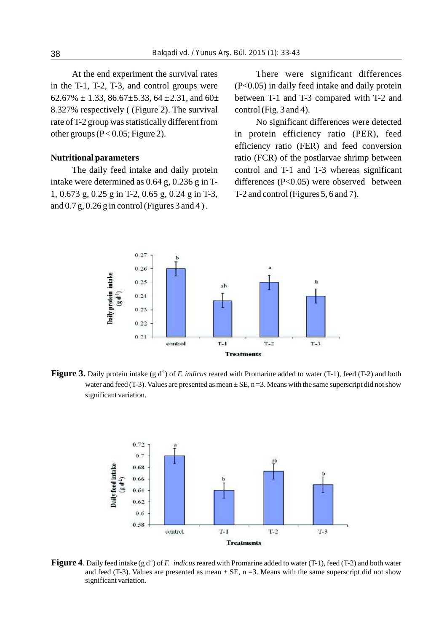8.327% respectively ( (Figure 2). The survival control (Fig. 3 and 4). rate of T-2 group was statistically different from No significant differences were detected

1, 0.673 g, 0.25 g in T-2, 0.65 g, 0.24 g in T-3, T-2 and control (Figures 5, 6 and 7). and  $0.7 g$ ,  $0.26 g$  in control (Figures 3 and 4).

At the end experiment the survival rates There were significant differences in the T-1, T-2, T-3, and control groups were  $(P<0.05)$  in daily feed intake and daily protein  $62.67\% \pm 1.33$ ,  $86.67\pm5.33$ ,  $64 \pm 2.31$ , and  $60\pm$  between T-1 and T-3 compared with T-2 and

other groups (P< 0.05; Figure 2). in protein efficiency ratio (PER), feed efficiency ratio (FER) and feed conversion **Nutritional parameters** ratio (FCR) of the postlarvae shrimp between The daily feed intake and daily protein control and T-1 and T-3 whereas significant intake were determined as 0.64 g, 0.236 g in T- differences (P<0.05) were observed between



**Figure 3.** Daily protein intake (g d<sup>-1</sup>) of *F. indicus* reared with Promarine added to water (T-1), feed (T-2) and both water and feed (T-3). Values are presented as mean  $\pm$  SE, n = 3. Means with the same superscript did not show significant variation.



**Figure 4.** Daily feed intake (g d<sup>-1</sup>) of *F. indicus* reared with Promarine added to water (T-1), feed (T-2) and both water and feed (T-3). Values are presented as mean  $\pm$  SE, n = 3. Means with the same superscript did not show significant variation.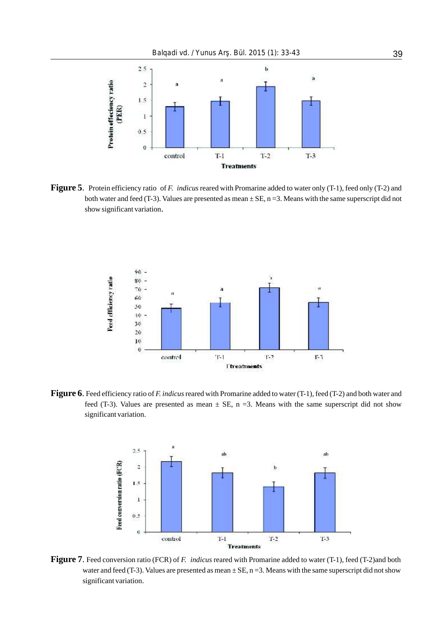

**Figure 5**. Protein efficiency ratio of *F. indicus* reared with Promarine added to water only (T-1), feed only (T-2) and both water and feed (T-3). Values are presented as mean  $\pm$  SE, n = 3. Means with the same superscript did not show significant variation.



**Figure 6**. Feed efficiency ratio of *F. indicus*reared with Promarine added to water (T-1), feed (T-2) and both water and feed (T-3). Values are presented as mean  $\pm$  SE, n = 3. Means with the same superscript did not show significant variation.



**Figure 7**. Feed conversion ratio (FCR) of *F. indicus* reared with Promarine added to water (T-1), feed (T-2)and both water and feed (T-3). Values are presented as mean  $\pm$  SE, n = 3. Means with the same superscript did not show significant variation.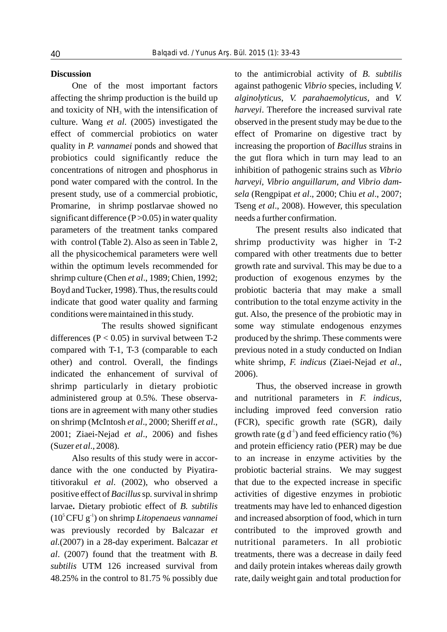affecting the shrimp production is the build up *alginolyticus*, *V. parahaemolyticus*, and *V.*  and toxicity of NH<sub>3</sub> with the intensification of *harveyi*. Therefore the increased survival rate culture. Wang *et al*. (2005) investigated the observed in the present study may be due to the effect of commercial probiotics on water effect of Promarine on digestive tract by quality in *P. vannamei* ponds and showed that increasing the proportion of *Bacillus* strains in probiotics could significantly reduce the the gut flora which in turn may lead to an concentrations of nitrogen and phosphorus in inhibition of pathogenic strains such as *Vibrio*  pond water compared with the control. In the *harveyi, Vibrio anguillarum, and Vibrio dam*present study, use of a commercial probiotic, *sela* (Rengpipat *et al*., 2000; Chiu *et al*., 2007; Promarine, in shrimp postlarvae showed no Tseng *et al*., 2008). However, this speculation significant difference  $(P>0.05)$  in water quality needs a further confirmation. parameters of the treatment tanks compared with control (Table 2). Also as seen in Table 2, all the physicochemical parameters were well within the optimum levels recommended for shrimp culture (Chen *et al*., 1989; Chien, 1992; Boyd and Tucker, 1998). Thus, the results could indicate that good water quality and farming conditions were maintained in this study.

The results showed significant differences ( $P < 0.05$ ) in survival between T-2 compared with T-1, T-3 (comparable to each other) and control. Overall, the findings indicated the enhancement of survival of shrimp particularly in dietary probiotic administered group at 0.5%. These observations are in agreement with many other studies on shrimp (McIntosh *et al*., 2000; Sheriff *et al*., 2001; Ziaei-Nejad *et al*., 2006) and fishes (Suzer *et al*., 2008).

Also results of this study were in accordance with the one conducted by Piyatiratitivorakul *et al*. (2002), who observed a positive effect of *Bacillus*sp*.*survival in shrimp larvae**.** Dietary probiotic effect of *B. subtilis* 5 -1 (10 CFU g ) on shrimp *Litopenaeus vannamei* was previously recorded by Balcazar *et al.*(2007) in a 28-day experiment. Balcazar *et al*. (2007) found that the treatment with *B. subtilis* UTM 126 increased survival from 48.25% in the control to 81.75 % possibly due

**Discussion** to the antimicrobial activity of *B. subtilis* One of the most important factors against pathogenic *Vibrio* species, including *V.* 

> The present results also indicated that shrimp productivity was higher in T-2 compared with other treatments due to better growth rate and survival. This may be due to a production of exogenous enzymes by the probiotic bacteria that may make a small contribution to the total enzyme activity in the gut. Also, the presence of the probiotic may in some way stimulate endogenous enzymes produced by the shrimp. These comments were previous noted in a study conducted on Indian white shrimp, *F. indicus* (Ziaei-Nejad *et al*., 2006).

> Thus, the observed increase in growth and nutritional parameters in *F. indicus*, including improved feed conversion ratio (FCR), specific growth rate (SGR), daily growth rate (g  $d^{\text{-}}$ ) and feed efficiency ratio (%) and protein efficiency ratio (PER) may be due to an increase in enzyme activities by the probiotic bacterial strains. We may suggest that due to the expected increase in specific activities of digestive enzymes in probiotic treatments may have led to enhanced digestion and increased absorption of food, which in turn contributed to the improved growth and nutritional parameters. In all probiotic treatments, there was a decrease in daily feed and daily protein intakes whereas daily growth rate, daily weight gain and total production for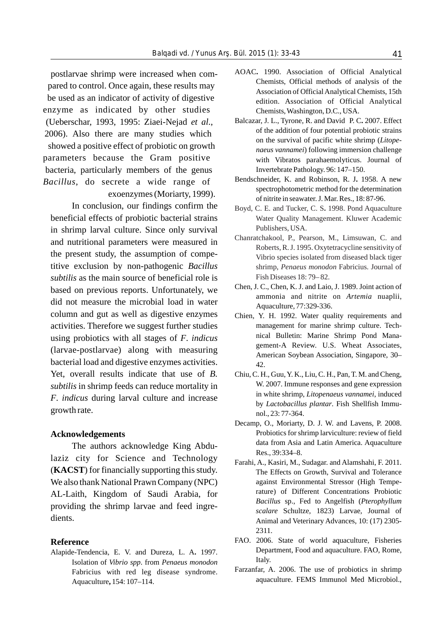postlarvae shrimp were increased when compared to control. Once again, these results may be used as an indicator of activity of digestive enzyme as indicated by other studies (Ueberschar, 1993, 1995: Ziaei-Nejad *et al*., 2006). Also there are many studies which showed a positive effect of probiotic on growth parameters because the Gram positive bacteria, particularly members of the genus *Bacillus*, do secrete a wide range of exoenzymes (Moriarty, 1999).

In conclusion, our findings confirm the beneficial effects of probiotic bacterial strains in shrimp larval culture. Since only survival and nutritional parameters were measured in the present study, the assumption of competitive exclusion by non-pathogenic *Bacillus subtilis* as the main source of beneficial role is based on previous reports. Unfortunately, we Chen, J. C., Chen, K. J. and Laio, J. 1989. Joint action of did not measure the microbial load in water<br>column and gut as well as digestive enzymes<br>chien Y H 1992 Water qua activities. Therefore we suggest further studies management for marine shrimp culture. Techusing probiotics with all stages of *F*. *indicus* nical Bulletin: Marine Shrimp Pond Mana-(larvae-postlarvae) along with measuring bacterial load and digestive enzymes activities. Yet, overall results indicate that use of *B*. Chiu, C. H., Guu, Y. K., Liu, C. H., Pan, T. M. and Cheng, subtilis in shrimp feeds can reduce mortality in W. 2007. Immune responses and gene expression<br>in white shrimp, *Litopenaeus vannamei*, induced *F. indicus* during larval culture and increase growth rate.  $\frac{1}{2}$  nol., 23: 77-364.

The authors acknowledge King Abdu-<br>Res., 39:334-8. laziz city for Science and Technology We also thank National Prawn Company (NPC) against Environmental Stressor (High Tempe-

Alapide-Tendencia, E. V. and Dureza, L. A. 1997. Isolation of *Vibrio spp*. from *Penaeus monodon* **,** 154: 107–114.

- AOAC**.** 1990. Association of Official Analytical Chemists, Official methods of analysis of the Association of Official Analytical Chemists, 15th edition. Association of Official Analytical Chemists, Washington, D.C., USA.
- Balcazar, J. L., Tyrone, R. and David P. C**.** 2007. Effect of the addition of four potential probiotic strains on the survival of pacific white shrimp (*Litopenaeus vannamei*) following immersion challenge with Vibratos parahaemolyticus. Journal of Invertebrate Pathology. 96: 147–150.
- Bendschneider, K. and Robinson, R. J**.** 1958. A new spectrophotometric method for the determination of nitrite in seawater. J. Mar. Res., 18: 87-96.
- Boyd, C. E. and Tucker, C. S**.** 1998. Pond Aquaculture Water Quality Management. Kluwer Academic Publishers, USA.
- Chanratchakool, P., Pearson, M., Limsuwan, C. and Roberts, R. J. 1995. Oxytetracycline sensitivity of Vibrio species isolated from diseased black tiger shrimp, *Penaeus monodon* Fabricius. Journal of Fish Diseases 18: 79– 82.
- ammonia and nitrite on *Artemia* nuaplii,
- Chien, Y. H. 1992. Water quality requirements and gement-A Review. U.S. Wheat Associates, American Soybean Association, Singapore, 30–
- by *Lactobacillus plantar*. Fish Shellfish Immu-
- Decamp, O., Moriarty, D. J. W. and Lavens, P. 2008. **Acknowledgements**<br> **Acknowledgements**<br> **Acknowledgements**<br> **Probiotics for shrimp larviculture: review of field<br>
data from Asia and Latin America. Aquaculture**
- Farahi, A., Kasiri, M., Sudagar. and Alamshahi, F. 2011. (**KACST**) for financially supporting this study. The Effects on Growth, Survival and Tolerance AL-Laith, Kingdom of Saudi Arabia, for rature) of Different Concentrations Probiotic providing the shrimp larvae and feed ingre-<br>  $Bacillus$  sp., Fed to Angelfish (*Pterophyllum* providing the shrimp larvae and feed ingre*scalare* Schultze, 1823) Larvae*,* Journal of dients.<br>
Animal and Veterinary Advances, 10: (17) 2305-2311.
- **Reference**<br>Alapide-Tendencia F V and Dureza I A 1997 Department, Food and aquaculture. FAO, Rome, Italy.
	- Fabricius with red leg disease syndrome. Farzanfar, A. 2006. The use of probiotics in shrimp aquaculture. FEMS Immunol Med Microbiol.,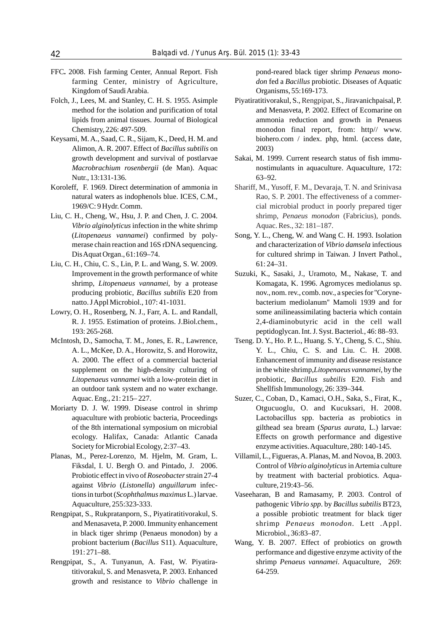- FFC**.** 2008. Fish farming Center, Annual Report. Fish pond-reared black tiger shrimp *Penaeus mono*farming Center, ministry of Agriculture, *don* fed a *Bacillus* probiotic. Diseases of Aquatic Kingdom of Saudi Arabia. Organisms, 55:169-173.
- Folch, J., Lees, M. and Stanley, C. H. S. 1955. Asimple Piyatiratitivorakul, S., Rengpipat, S., Jiravanichpaisal, P.
- Alimon, A. R. 2007. Effect of *Bacillus subtilis* on 2003) Nutr., 13:131-136. 63–92.
- Koroleff, F. 1969. Direct determination of ammonia in natural waters as indophenols blue. ICES, C.M., 1969/C: 9 Hydr. Comm.
- Liu, C. H., Cheng, W., Hsu, J. P. and Chen, J. C. 2004. *Vibrio alginolyticus* infection in the white shrimp (*Litopenaeus vannamei*) confirmed by poly- Song, Y. L., Cheng, W. and Wang C. H. 1993. Isolation
- Liu, C. H., Chiu, C. S., Lin, P. L. and Wang, S. W. 2009. 61: 24–31.
- 
- McIntosh, D., Samocha, T. M., Jones, E. R., Lawrence, Tseng. D. Y., Ho. P. L., Huang. S. Y., Cheng, S. C., Shiu. an outdoor tank system and no water exchange.
- 
- Planas, M., Perez-Lorenzo, M. Hjelm, M. Gram, L. Villamil, L., Figueras, A. Planas, M. and Novoa, B. 2003. against *Vibrio* (*Listonella*) *anguillarum* infec- culture, 219:43–56.
- in black tiger shrimp (Penaeus monodon) by a Microbiol., 36:83–87.
- titivorakul, S. and Menasveta, P. 2003. Enhanced 64-259. growth and resistance to *Vibrio* challenge in

- method for the isolation and purification of total and Menasveta, P. 2002. Effect of Ecomarine on lipids from animal tissues. Journal of Biological ammonia reduction and growth in Penaeus Chemistry, 226: 497-509. monodon final report, from: http// www. Keysami, M. A., Saad, C. R., Sijam, K., Deed, H. M. and biohero.com / index. php, html. (access date,
	- growth development and survival of postlarvae Sakai, M. 1999. Current research status of fish immu-*Macrobrachium rosenbergii* (de Man). Aquac nostimulants in aquaculture. Aquaculture, 172:
		- Shariff, M., Yusoff, F. M., Devaraja, T. N. and Srinivasa Rao, S. P. 2001. The effectiveness of a commercial microbial product in poorly prepared tiger shrimp, *Penaeus monodon* (Fabricius), ponds. Aquac. Res., 32: 181–187.
	- merase chain reaction and 16S rDNAsequencing. and characterization of *Vibrio damsela* infectious Dis Aquat Organ., 61:169–74. for cultured shrimp in Taiwan. J Invert Pathol.,
- Improvement in the growth performance of white Suzuki, K., Sasaki, J., Uramoto, M., Nakase, T. and shrimp, *Litopenaeus vannamei*, by a protease Komagata, K. 1996. Agromyces mediolanus sp. producing probiotic, *Bacillus subtilis* E20 from nov., nom. rev., comb. nov., a species for ''Corynenatto. J Appl Microbiol., 107: 41-1031. bacterium mediolanum'' Mamoli 1939 and for Lowry, O. H., Rosenberg, N. J., Farr, A. L. and Randall, some anilineassimilating bacteria which contain R. J. 1955. Estimation of proteins. J.Biol.chem*.*, 2,4-diaminobutyric acid in the cell wall 193: 265-268. peptidoglycan. Int. J. Syst. Bacteriol*.*, 46: 88–93.
	- A. L., McKee, D. A., Horowitz, S. and Horowitz, Y. L., Chiu, C. S. and Liu. C. H. 2008. A. 2000. The effect of a commercial bacterial Enhancement of immunity and disease resistance supplement on the high-density culturing of in the white shrimp,*Litopenaeus vannamei*, by the *Litopenaeus vannamei* with a low-protein diet in probiotic, *Bacillus subtilis* E20. Fish and Shellfish Immunology, 26: 339-344.
- Aquac. Eng., 21: 215– 227. Suzer, C., Coban, D., Kamaci, O.H., Saka, S., Firat, K., Moriarty D. J. W. 1999. Disease control in shrimp Otgucuoglu, O. and Kucuksari, H. 2008. aquaculture with probiotic bacteria, Proceedings Lactobacillus spp. bacteria as probiotics in of the 8th international symposium on microbial gilthead sea bream (*Sparus aurata*, L.) larvae: ecology. Halifax, Canada: Atlantic Canada Effects on growth performance and digestive Society for Microbial Ecology, 2:37–43. enzyme activities. Aquaculture, 280: 140-145.
	- Fiksdal, I. U. Bergh O. and Pintado, J. 2006. Control of *Vibrio alginolyticus*in Artemia culture Probiotic effect in vivo of *Roseobacter* strain 27-4 by treatment with bacterial probiotics. Aqua-
- tions in turbot (*Scophthalmus maximus* L.) larvae. Vaseeharan, B and Ramasamy, P. 2003. Control of Aquaculture, 255:323-333. pathogenic *Vibrio spp*. by *Bacillus subtilis* BT23, Rengpipat, S., Rukpratanporn, S., Piyatiratitivorakul, S. a possible probiotic treatment for black tiger and Menasaveta, P. 2000. Immunity enhancement shrimp *Penaeus monodon.* Lett .Appl.
- probiont bacterium (*Bacillus* S11). Aquaculture, Wang, Y. B. 2007. Effect of probiotics on growth 191: 271–88. performance and digestive enzyme activity of the Rengpipat, S., A. Tunyanun, A. Fast, W. Piyatira- shrimp *Penaeus vannamei*. Aquaculture, 269: